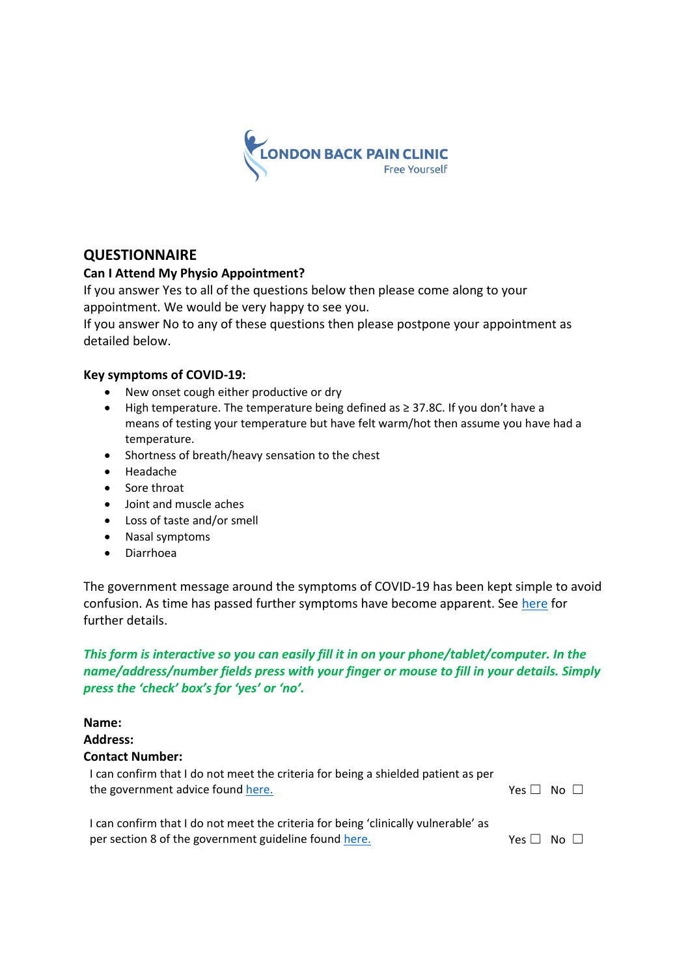

## **QUESTIONNAIRE**

### **Can I Attend My Physio Appointment?**

If you answer Yes to all of the questions below then please come along to your appointment. We would be very happy to see you.

If you answer No to any of these questions then please postpone your appointment as detailed below.

#### **Key symptoms of COVID-19:**

- New onset cough either productive or dry
- High temperature. The temperature being defined as ≥ 37.8C. If you don't have a means of testing your temperature but have felt warm/hot then assume you have had a temperature.
- Shortness of breath/heavy sensation to the chest
- Headache
- Sore throat
- Joint and muscle aches
- Loss of taste and/or smell
- Nasal symptoms
- Diarrhoea

The government message around the symptoms of COVID-19 has been kept simple to avoid confusion. As time has passed further symptoms have become apparent. See here for further details.

## *This form is interactive so you can easily fill it in on your phone/tablet/computer. In the name/address/number fields press with your finger or mouse to fill in your details. Simply press the 'check' box's for 'yes' or 'no'.*

| Name:                                                                                                                                       |                    |
|---------------------------------------------------------------------------------------------------------------------------------------------|--------------------|
| <b>Address:</b>                                                                                                                             |                    |
| <b>Contact Number:</b>                                                                                                                      |                    |
| I can confirm that I do not meet the criteria for being a shielded patient as per<br>the government advice found here.                      | $No \Box$<br>Yes L |
| I can confirm that I do not meet the criteria for being 'clinically vulnerable' as<br>per section 8 of the government guideline found here. | Yes l<br>No.       |